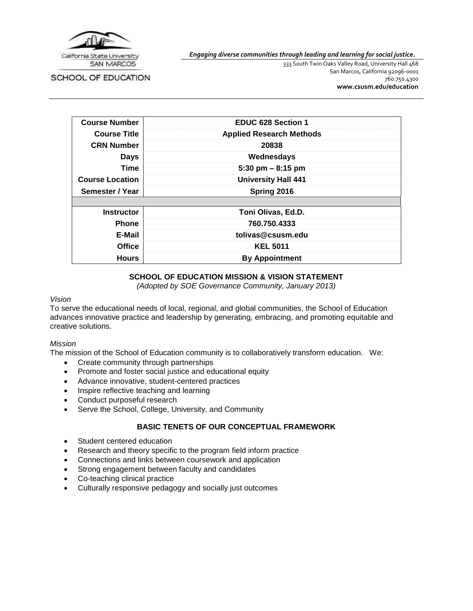

SCHOOL OF EDUCATION

*Engaging diverse communities through leading and learning for social justice.*

333 South Twin Oaks Valley Road, University Hall 468 San Marcos, California 92096-0001 760.750.4300 **[www.csusm.edu/education](http://www.csusm.edu/education)**

| <b>Course Number</b>   | <b>EDUC 628 Section 1</b>       |
|------------------------|---------------------------------|
| <b>Course Title</b>    | <b>Applied Research Methods</b> |
| <b>CRN Number</b>      | 20838                           |
| <b>Days</b>            | Wednesdays                      |
| <b>Time</b>            | 5:30 pm $-8:15$ pm              |
| <b>Course Location</b> | <b>University Hall 441</b>      |
| Semester / Year        | Spring 2016                     |
|                        |                                 |
| <b>Instructor</b>      | Toni Olivas, Ed.D.              |
| <b>Phone</b>           | 760.750.4333                    |
| E-Mail                 | tolivas@csusm.edu               |
| <b>Office</b>          | <b>KEL 5011</b>                 |
| <b>Hours</b>           | <b>By Appointment</b>           |

# **SCHOOL OF EDUCATION MISSION & VISION STATEMENT**

*(Adopted by SOE Governance Community, January 2013)*

### *Vision*

To serve the educational needs of local, regional, and global communities, the School of Education advances innovative practice and leadership by generating, embracing, and promoting equitable and creative solutions.

# *Mission*

The mission of the School of Education community is to collaboratively transform education. We:

- Create community through partnerships
- Promote and foster social justice and educational equity
- Advance innovative, student-centered practices
- Inspire reflective teaching and learning
- Conduct purposeful research
- Serve the School, College, University, and Community

# **BASIC TENETS OF OUR CONCEPTUAL FRAMEWORK**

- Student centered education
- Research and theory specific to the program field inform practice
- Connections and links between coursework and application
- Strong engagement between faculty and candidates
- Co-teaching clinical practice
- Culturally responsive pedagogy and socially just outcomes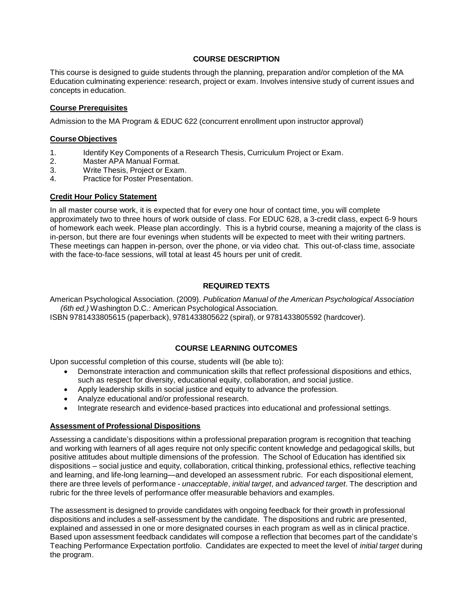## **COURSE DESCRIPTION**

This course is designed to guide students through the planning, preparation and/or completion of the MA Education culminating experience: research, project or exam. Involves intensive study of current issues and concepts in education.

### **Course Prerequisites**

Admission to the MA Program & EDUC 622 (concurrent enrollment upon instructor approval)

### **Course Objectives**

- 1. Identify Key Components of a Research Thesis, Curriculum Project or Exam.
- 2. Master APA Manual Format.<br>3. Write Thesis. Project or Exam
- Write Thesis, Project or Exam.
- 4. Practice for Poster Presentation.

## **Credit Hour Policy Statement**

In all master course work, it is expected that for every one hour of contact time, you will complete approximately two to three hours of work outside of class. For EDUC 628, a 3-credit class, expect 6-9 hours of homework each week. Please plan accordingly. This is a hybrid course, meaning a majority of the class is in-person, but there are four evenings when students will be expected to meet with their writing partners. These meetings can happen in-person, over the phone, or via video chat. This out-of-class time, associate with the face-to-face sessions, will total at least 45 hours per unit of credit.

## **REQUIRED TEXTS**

American Psychological Association. (2009). *Publication Manual of the American Psychological Association (6th ed.)* Washington D.C.: American Psychological Association.

ISBN 9781433805615 (paperback), 9781433805622 (spiral), or 9781433805592 (hardcover).

# **COURSE LEARNING OUTCOMES**

Upon successful completion of this course, students will (be able to):

- Demonstrate interaction and communication skills that reflect professional dispositions and ethics, such as respect for diversity, educational equity, collaboration, and social justice.
- Apply leadership skills in social justice and equity to advance the profession.
- Analyze educational and/or professional research.
- Integrate research and evidence-based practices into educational and professional settings.

### **Assessment of Professional Dispositions**

Assessing a candidate's dispositions within a professional preparation program is recognition that teaching and working with learners of all ages require not only specific content knowledge and pedagogical skills, but positive attitudes about multiple dimensions of the profession. The School of Education has identified six dispositions – social justice and equity, collaboration, critical thinking, professional ethics, reflective teaching and learning, and life-long learning—and developed an assessment rubric. For each dispositional element, there are three levels of performance - *unacceptable*, *initial target*, and *advanced target*. The description and rubric for the three levels of performance offer measurable behaviors and examples.

The assessment is designed to provide candidates with ongoing feedback for their growth in professional dispositions and includes a self-assessment by the candidate. The dispositions and rubric are presented, explained and assessed in one or more designated courses in each program as well as in clinical practice. Based upon assessment feedback candidates will compose a reflection that becomes part of the candidate's Teaching Performance Expectation portfolio. Candidates are expected to meet the level of *initial target* during the program.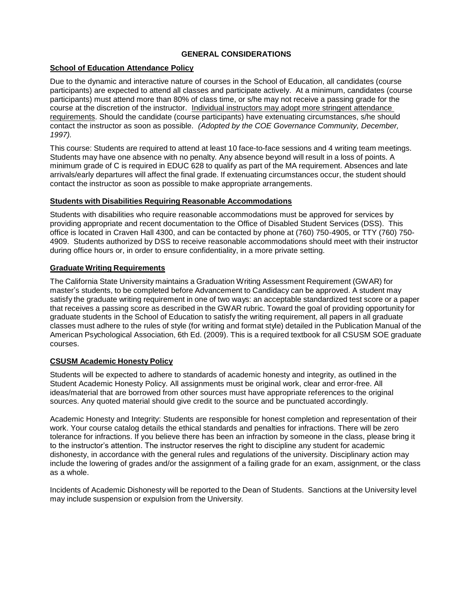# **GENERAL CONSIDERATIONS**

# **School of Education Attendance Policy**

Due to the dynamic and interactive nature of courses in the School of Education, all candidates (course participants) are expected to attend all classes and participate actively. At a minimum, candidates (course participants) must attend more than 80% of class time, or s/he may not receive a passing grade for the course at the discretion of the instructor. Individual instructors may adopt more stringent attendance requirements. Should the candidate (course participants) have extenuating circumstances, s/he should contact the instructor as soon as possible. *(Adopted by the COE Governance Community, December, 1997).*

This course: Students are required to attend at least 10 face-to-face sessions and 4 writing team meetings. Students may have one absence with no penalty. Any absence beyond will result in a loss of points. A minimum grade of C is required in EDUC 628 to qualify as part of the MA requirement. Absences and late arrivals/early departures will affect the final grade. If extenuating circumstances occur, the student should contact the instructor as soon as possible to make appropriate arrangements.

# **Students with Disabilities Requiring Reasonable Accommodations**

Students with disabilities who require reasonable accommodations must be approved for services by providing appropriate and recent documentation to the Office of Disabled Student Services (DSS). This office is located in Craven Hall 4300, and can be contacted by phone at (760) 750-4905, or TTY (760) 750- 4909. Students authorized by DSS to receive reasonable accommodations should meet with their instructor during office hours or, in order to ensure confidentiality, in a more private setting.

## **Graduate Writing Requirements**

The California State University maintains a Graduation Writing Assessment Requirement (GWAR) for master's students, to be completed before Advancement to Candidacy can be approved. A student may satisfy the graduate writing requirement in one of two ways: an acceptable standardized test score or a paper that receives a passing score as described in the GWAR rubric. Toward the goal of providing opportunity for graduate students in the School of Education to satisfy the writing requirement, all papers in all graduate classes must adhere to the rules of style (for writing and format style) detailed in the Publication Manual of the American Psychological Association, 6th Ed. (2009). This is a required textbook for all CSUSM SOE graduate courses.

# **CSUSM Academic Honesty Policy**

Students will be expected to adhere to standards of academic honesty and integrity, as outlined in the Student Academic Honesty Policy. All assignments must be original work, clear and error-free. All ideas/material that are borrowed from other sources must have appropriate references to the original sources. Any quoted material should give credit to the source and be punctuated accordingly.

Academic Honesty and Integrity: Students are responsible for honest completion and representation of their work. Your course catalog details the ethical standards and penalties for infractions. There will be zero tolerance for infractions. If you believe there has been an infraction by someone in the class, please bring it to the instructor's attention. The instructor reserves the right to discipline any student for academic dishonesty, in accordance with the general rules and regulations of the university. Disciplinary action may include the lowering of grades and/or the assignment of a failing grade for an exam, assignment, or the class as a whole.

Incidents of Academic Dishonesty will be reported to the Dean of Students. Sanctions at the University level may include suspension or expulsion from the University.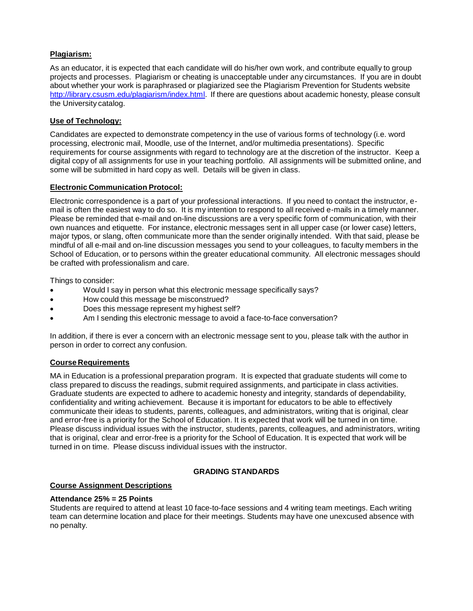# **Plagiarism:**

As an educator, it is expected that each candidate will do his/her own work, and contribute equally to group projects and processes. Plagiarism or cheating is unacceptable under any circumstances. If you are in doubt about whether your work is paraphrased or plagiarized see the Plagiarism Prevention for Students website [http://library.csusm.edu/plagiarism/index.html.](http://library.csusm.edu/plagiarism/index.html) If there are questions about academic honesty, please consult the University catalog.

# **Use of Technology:**

Candidates are expected to demonstrate competency in the use of various forms of technology (i.e. word processing, electronic mail, Moodle, use of the Internet, and/or multimedia presentations). Specific requirements for course assignments with regard to technology are at the discretion of the instructor. Keep a digital copy of all assignments for use in your teaching portfolio. All assignments will be submitted online, and some will be submitted in hard copy as well. Details will be given in class.

# **Electronic Communication Protocol:**

Electronic correspondence is a part of your professional interactions. If you need to contact the instructor, email is often the easiest way to do so. It is my intention to respond to all received e-mails in a timely manner. Please be reminded that e-mail and on-line discussions are a very specific form of communication, with their own nuances and etiquette. For instance, electronic messages sent in all upper case (or lower case) letters, major typos, or slang, often communicate more than the sender originally intended. With that said, please be mindful of all e-mail and on-line discussion messages you send to your colleagues, to faculty members in the School of Education, or to persons within the greater educational community. All electronic messages should be crafted with professionalism and care.

Things to consider:

- Would I say in person what this electronic message specifically says?
- How could this message be misconstrued?
- Does this message represent my highest self?
- Am I sending this electronic message to avoid a face-to-face conversation?

In addition, if there is ever a concern with an electronic message sent to you, please talk with the author in person in order to correct any confusion.

# **Course Requirements**

MA in Education is a professional preparation program. It is expected that graduate students will come to class prepared to discuss the readings, submit required assignments, and participate in class activities. Graduate students are expected to adhere to academic honesty and integrity, standards of dependability, confidentiality and writing achievement. Because it is important for educators to be able to effectively communicate their ideas to students, parents, colleagues, and administrators, writing that is original, clear and error-free is a priority for the School of Education. It is expected that work will be turned in on time. Please discuss individual issues with the instructor, students, parents, colleagues, and administrators, writing that is original, clear and error-free is a priority for the School of Education. It is expected that work will be turned in on time. Please discuss individual issues with the instructor.

# **GRADING STANDARDS**

### **Course Assignment Descriptions**

### **Attendance 25% = 25 Points**

Students are required to attend at least 10 face-to-face sessions and 4 writing team meetings. Each writing team can determine location and place for their meetings. Students may have one unexcused absence with no penalty.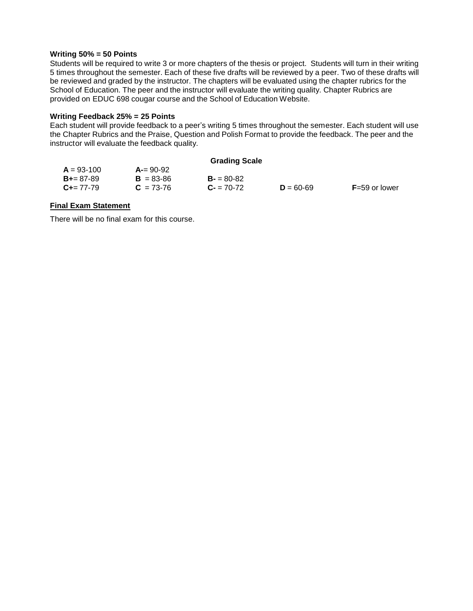#### **Writing 50% = 50 Points**

Students will be required to write 3 or more chapters of the thesis or project. Students will turn in their writing 5 times throughout the semester. Each of these five drafts will be reviewed by a peer. Two of these drafts will be reviewed and graded by the instructor. The chapters will be evaluated using the chapter rubrics for the School of Education. The peer and the instructor will evaluate the writing quality. Chapter Rubrics are provided on EDUC 698 cougar course and the School of Education Website.

#### **Writing Feedback 25% = 25 Points**

Each student will provide feedback to a peer's writing 5 times throughout the semester. Each student will use the Chapter Rubrics and the Praise, Question and Polish Format to provide the feedback. The peer and the instructor will evaluate the feedback quality.

| <b>Grading Scale</b> |               |             |               |                   |  |
|----------------------|---------------|-------------|---------------|-------------------|--|
| $A = 93-100$         | $A = 90-92$   |             |               |                   |  |
| $B_{+} = 87 - 89$    | $B = 83 - 86$ | $B = 80-82$ |               |                   |  |
| $C_{\pm} = 77 - 79$  | $C = 73-76$   | $C = 70-72$ | $D = 60 - 69$ | $F = 59$ or lower |  |

### **Final Exam Statement**

There will be no final exam for this course.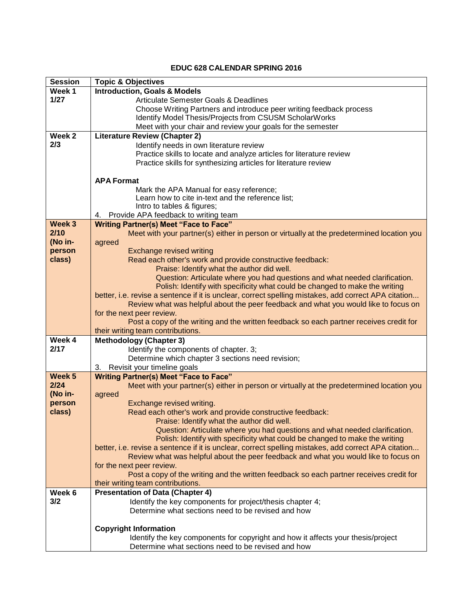## **EDUC 628 CALENDAR SPRING 2016**

| <b>Session</b>    | <b>Topic &amp; Objectives</b>                                                                                        |  |  |
|-------------------|----------------------------------------------------------------------------------------------------------------------|--|--|
| Week 1            | <b>Introduction, Goals &amp; Models</b>                                                                              |  |  |
| 1/27              | <b>Articulate Semester Goals &amp; Deadlines</b>                                                                     |  |  |
|                   | Choose Writing Partners and introduce peer writing feedback process                                                  |  |  |
|                   | Identify Model Thesis/Projects from CSUSM ScholarWorks                                                               |  |  |
|                   | Meet with your chair and review your goals for the semester                                                          |  |  |
| Week <sub>2</sub> | <b>Literature Review (Chapter 2)</b>                                                                                 |  |  |
| 2/3               | Identify needs in own literature review                                                                              |  |  |
|                   | Practice skills to locate and analyze articles for literature review                                                 |  |  |
|                   | Practice skills for synthesizing articles for literature review                                                      |  |  |
|                   |                                                                                                                      |  |  |
|                   | <b>APA Format</b>                                                                                                    |  |  |
|                   | Mark the APA Manual for easy reference;                                                                              |  |  |
|                   | Learn how to cite in-text and the reference list;                                                                    |  |  |
|                   | Intro to tables & figures;                                                                                           |  |  |
| Week 3            | Provide APA feedback to writing team<br>4.                                                                           |  |  |
| 2/10              | <b>Writing Partner(s) Meet "Face to Face"</b>                                                                        |  |  |
| (No in-           | Meet with your partner(s) either in person or virtually at the predetermined location you                            |  |  |
| person            | agreed<br><b>Exchange revised writing</b>                                                                            |  |  |
| class)            | Read each other's work and provide constructive feedback:                                                            |  |  |
|                   | Praise: Identify what the author did well.                                                                           |  |  |
|                   | Question: Articulate where you had questions and what needed clarification.                                          |  |  |
|                   | Polish: Identify with specificity what could be changed to make the writing                                          |  |  |
|                   | better, i.e. revise a sentence if it is unclear, correct spelling mistakes, add correct APA citation                 |  |  |
|                   | Review what was helpful about the peer feedback and what you would like to focus on                                  |  |  |
|                   | for the next peer review.                                                                                            |  |  |
|                   | Post a copy of the writing and the written feedback so each partner receives credit for                              |  |  |
|                   | their writing team contributions.                                                                                    |  |  |
| Week 4            | <b>Methodology (Chapter 3)</b>                                                                                       |  |  |
| 2/17              | Identify the components of chapter. 3;                                                                               |  |  |
|                   | Determine which chapter 3 sections need revision;                                                                    |  |  |
|                   | Revisit your timeline goals<br>3.                                                                                    |  |  |
| Week <sub>5</sub> | <b>Writing Partner(s) Meet "Face to Face"</b>                                                                        |  |  |
| 2/24              | Meet with your partner(s) either in person or virtually at the predetermined location you                            |  |  |
| (No in-           | agreed                                                                                                               |  |  |
| person            | Exchange revised writing.                                                                                            |  |  |
| class)            | Read each other's work and provide constructive feedback:                                                            |  |  |
|                   | Praise: Identify what the author did well.                                                                           |  |  |
|                   | Question: Articulate where you had questions and what needed clarification.                                          |  |  |
|                   | Polish: Identify with specificity what could be changed to make the writing                                          |  |  |
|                   | better, i.e. revise a sentence if it is unclear, correct spelling mistakes, add correct APA citation                 |  |  |
|                   | Review what was helpful about the peer feedback and what you would like to focus on                                  |  |  |
|                   | for the next peer review.<br>Post a copy of the writing and the written feedback so each partner receives credit for |  |  |
|                   | their writing team contributions.                                                                                    |  |  |
| Week 6            | <b>Presentation of Data (Chapter 4)</b>                                                                              |  |  |
| 3/2               | Identify the key components for project/thesis chapter 4;                                                            |  |  |
|                   | Determine what sections need to be revised and how                                                                   |  |  |
|                   |                                                                                                                      |  |  |
|                   | <b>Copyright Information</b>                                                                                         |  |  |
|                   | Identify the key components for copyright and how it affects your thesis/project                                     |  |  |
|                   | Determine what sections need to be revised and how                                                                   |  |  |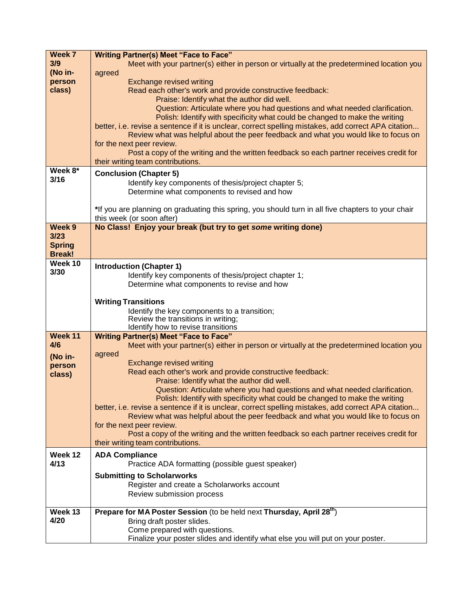| Week 7            | <b>Writing Partner(s) Meet "Face to Face"</b>                                                                             |
|-------------------|---------------------------------------------------------------------------------------------------------------------------|
| 3/9               | Meet with your partner(s) either in person or virtually at the predetermined location you                                 |
| (No in-           | agreed                                                                                                                    |
| person            | <b>Exchange revised writing</b>                                                                                           |
| class)            | Read each other's work and provide constructive feedback:                                                                 |
|                   | Praise: Identify what the author did well.                                                                                |
|                   | Question: Articulate where you had questions and what needed clarification.                                               |
|                   | Polish: Identify with specificity what could be changed to make the writing                                               |
|                   | better, i.e. revise a sentence if it is unclear, correct spelling mistakes, add correct APA citation                      |
|                   | Review what was helpful about the peer feedback and what you would like to focus on                                       |
|                   | for the next peer review.                                                                                                 |
|                   | Post a copy of the writing and the written feedback so each partner receives credit for                                   |
|                   | their writing team contributions.                                                                                         |
| Week 8*           | <b>Conclusion (Chapter 5)</b>                                                                                             |
| 3/16              | Identify key components of thesis/project chapter 5;                                                                      |
|                   | Determine what components to revised and how                                                                              |
|                   |                                                                                                                           |
|                   | *If you are planning on graduating this spring, you should turn in all five chapters to your chair                        |
|                   | this week (or soon after)                                                                                                 |
| Week <sub>9</sub> | No Class! Enjoy your break (but try to get some writing done)                                                             |
| 3/23              |                                                                                                                           |
| <b>Spring</b>     |                                                                                                                           |
| <b>Break!</b>     |                                                                                                                           |
| Week 10           | <b>Introduction (Chapter 1)</b>                                                                                           |
| 3/30              | Identify key components of thesis/project chapter 1;                                                                      |
|                   | Determine what components to revise and how                                                                               |
|                   |                                                                                                                           |
|                   | <b>Writing Transitions</b>                                                                                                |
|                   | Identify the key components to a transition;                                                                              |
|                   | Review the transitions in writing;                                                                                        |
|                   | Identify how to revise transitions                                                                                        |
| Week 11           | <b>Writing Partner(s) Meet "Face to Face"</b>                                                                             |
| 4/6               | Meet with your partner(s) either in person or virtually at the predetermined location you                                 |
| (No in-           | agreed                                                                                                                    |
| person            | <b>Exchange revised writing</b>                                                                                           |
| class)            | Read each other's work and provide constructive feedback:                                                                 |
|                   | Praise: Identify what the author did well.<br>Question: Articulate where you had questions and what needed clarification. |
|                   | Polish: Identify with specificity what could be changed to make the writing                                               |
|                   | better, i.e. revise a sentence if it is unclear, correct spelling mistakes, add correct APA citation                      |
|                   | Review what was helpful about the peer feedback and what you would like to focus on                                       |
|                   | for the next peer review.                                                                                                 |
|                   | Post a copy of the writing and the written feedback so each partner receives credit for                                   |
|                   | their writing team contributions.                                                                                         |
| Week 12           | <b>ADA Compliance</b>                                                                                                     |
| 4/13              | Practice ADA formatting (possible guest speaker)                                                                          |
|                   |                                                                                                                           |
|                   | <b>Submitting to Scholarworks</b>                                                                                         |
|                   | Register and create a Scholarworks account                                                                                |
|                   | Review submission process                                                                                                 |
|                   |                                                                                                                           |
| Week 13<br>4/20   | Prepare for MA Poster Session (to be held next Thursday, April 28 <sup>th</sup> )                                         |
|                   | Bring draft poster slides.                                                                                                |
|                   | Come prepared with questions.                                                                                             |
|                   | Finalize your poster slides and identify what else you will put on your poster.                                           |